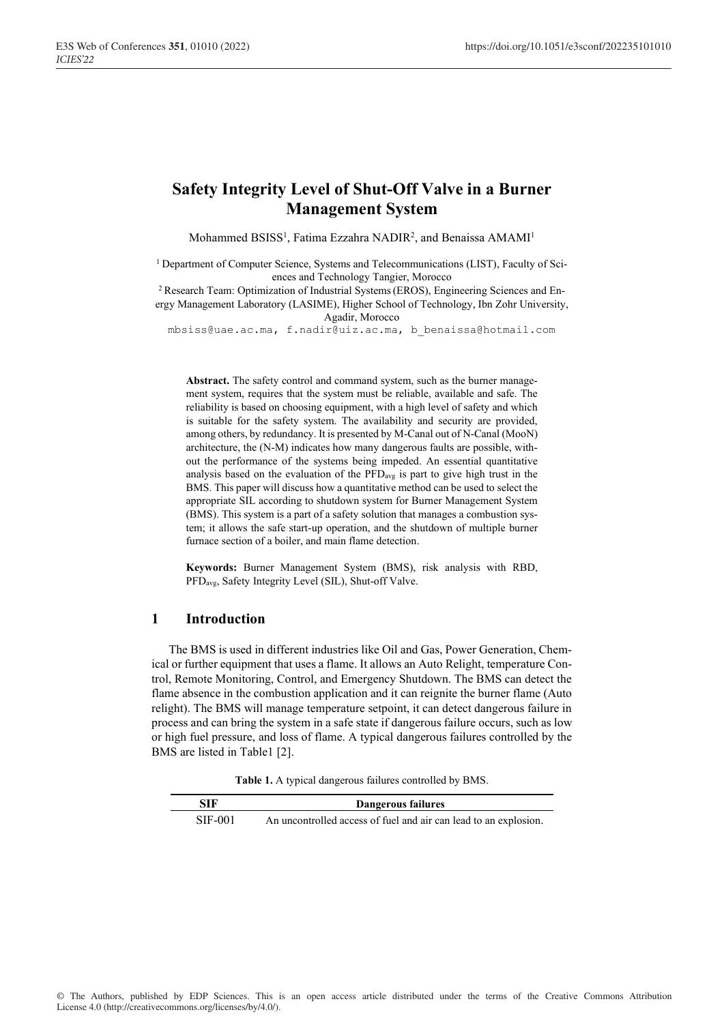# **Safety Integrity Level of Shut-Off Valve in a Burner Management System**

Mohammed BSISS<sup>1</sup>, Fatima Ezzahra NADIR<sup>2</sup>, and Benaissa AMAMI<sup>1</sup>

<sup>1</sup> Department of Computer Science, Systems and Telecommunications (LIST), Faculty of Sciences and Technology Tangier, Morocco

<sup>2</sup> Research Team: Optimization of Industrial Systems(EROS), Engineering Sciences and Energy Management Laboratory (LASIME), Higher School of Technology, Ibn Zohr University, Agadir, Morocco

mbsiss@uae.ac.ma, f.nadir@uiz.ac.ma, b\_benaissa@hotmail.com

**Abstract.** The safety control and command system, such as the burner management system, requires that the system must be reliable, available and safe. The reliability is based on choosing equipment, with a high level of safety and which is suitable for the safety system. The availability and security are provided, among others, by redundancy. It is presented by M-Canal out of N-Canal (MooN) architecture, the (N-M) indicates how many dangerous faults are possible, without the performance of the systems being impeded. An essential quantitative analysis based on the evaluation of the PFDavg is part to give high trust in the BMS. This paper will discuss how a quantitative method can be used to select the appropriate SIL according to shutdown system for Burner Management System (BMS). This system is a part of a safety solution that manages a combustion system; it allows the safe start-up operation, and the shutdown of multiple burner furnace section of a boiler, and main flame detection.

**Keywords:** Burner Management System (BMS), risk analysis with RBD, PFDavg, Safety Integrity Level (SIL), Shut-off Valve.

## **1 Introduction**

The BMS is used in different industries like Oil and Gas, Power Generation, Chemical or further equipment that uses a flame. It allows an Auto Relight, temperature Control, Remote Monitoring, Control, and Emergency Shutdown. The BMS can detect the flame absence in the combustion application and it can reignite the burner flame (Auto relight). The BMS will manage temperature setpoint, it can detect dangerous failure in process and can bring the system in a safe state if dangerous failure occurs, such as low or high fuel pressure, and loss of flame. A typical dangerous failures controlled by the BMS are listed in Table1 [2].

**Table 1.** A typical dangerous failures controlled by BMS.

| SIF     | Dangerous failures                                               |
|---------|------------------------------------------------------------------|
| SIF-001 | An uncontrolled access of fuel and air can lead to an explosion. |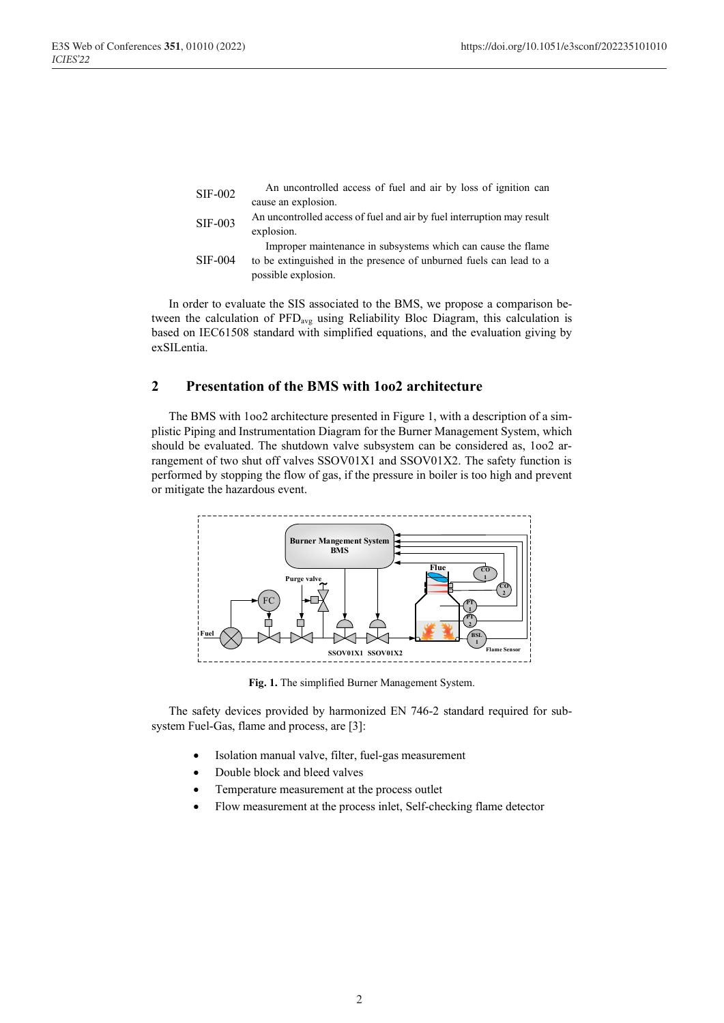| <b>SIF-002</b> | An uncontrolled access of fuel and air by loss of ignition can         |
|----------------|------------------------------------------------------------------------|
|                | cause an explosion.                                                    |
| <b>SIF-003</b> | An uncontrolled access of fuel and air by fuel interruption may result |
|                | explosion.                                                             |
|                | Improper maintenance in subsystems which can cause the flame           |
| $SIF-004$      | to be extinguished in the presence of unburned fuels can lead to a     |
|                | possible explosion.                                                    |
|                |                                                                        |

In order to evaluate the SIS associated to the BMS, we propose a comparison between the calculation of PFDavg using Reliability Bloc Diagram, this calculation is based on IEC61508 standard with simplified equations, and the evaluation giving by exSILentia.

# **2 Presentation of the BMS with 1oo2 architecture**

The BMS with 1oo2 architecture presented in Figure 1, with a description of a simplistic Piping and Instrumentation Diagram for the Burner Management System, which should be evaluated. The shutdown valve subsystem can be considered as, 1oo2 arrangement of two shut off valves SSOV01X1 and SSOV01X2. The safety function is performed by stopping the flow of gas, if the pressure in boiler is too high and prevent or mitigate the hazardous event.



**Fig. 1.** The simplified Burner Management System.

The safety devices provided by harmonized EN 746-2 standard required for subsystem Fuel-Gas, flame and process, are [3]:

- Isolation manual valve, filter, fuel-gas measurement
- Double block and bleed valves
- Temperature measurement at the process outlet
- Flow measurement at the process inlet, Self-checking flame detector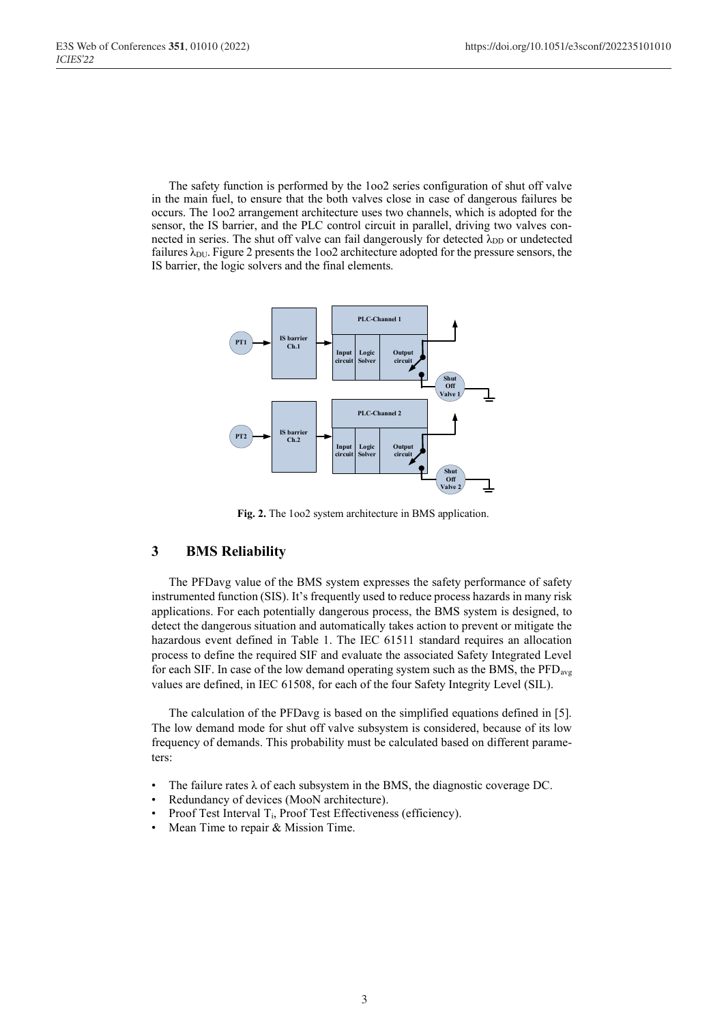The safety function is performed by the 1oo2 series configuration of shut off valve in the main fuel, to ensure that the both valves close in case of dangerous failures be occurs. The 1oo2 arrangement architecture uses two channels, which is adopted for the sensor, the IS barrier, and the PLC control circuit in parallel, driving two valves connected in series. The shut off valve can fail dangerously for detected  $\lambda_{DD}$  or undetected failures  $\lambda_{\text{DU}}$ . Figure 2 presents the 1002 architecture adopted for the pressure sensors, the IS barrier, the logic solvers and the final elements.



**Fig. 2.** The 1oo2 system architecture in BMS application.

# **3 BMS Reliability**

The PFDavg value of the BMS system expresses the safety performance of safety instrumented function (SIS). It's frequently used to reduce process hazards in many risk applications. For each potentially dangerous process, the BMS system is designed, to detect the dangerous situation and automatically takes action to prevent or mitigate the hazardous event defined in Table 1. The IEC 61511 standard requires an allocation process to define the required SIF and evaluate the associated Safety Integrated Level for each SIF. In case of the low demand operating system such as the BMS, the PFD<sub>avg</sub> values are defined, in IEC 61508, for each of the four Safety Integrity Level (SIL).

The calculation of the PFDavg is based on the simplified equations defined in [5]. The low demand mode for shut off valve subsystem is considered, because of its low frequency of demands. This probability must be calculated based on different parameters:

- The failure rates  $\lambda$  of each subsystem in the BMS, the diagnostic coverage DC.
- Redundancy of devices (MooN architecture).
- Proof Test Interval T<sub>i</sub>, Proof Test Effectiveness (efficiency).
- Mean Time to repair & Mission Time.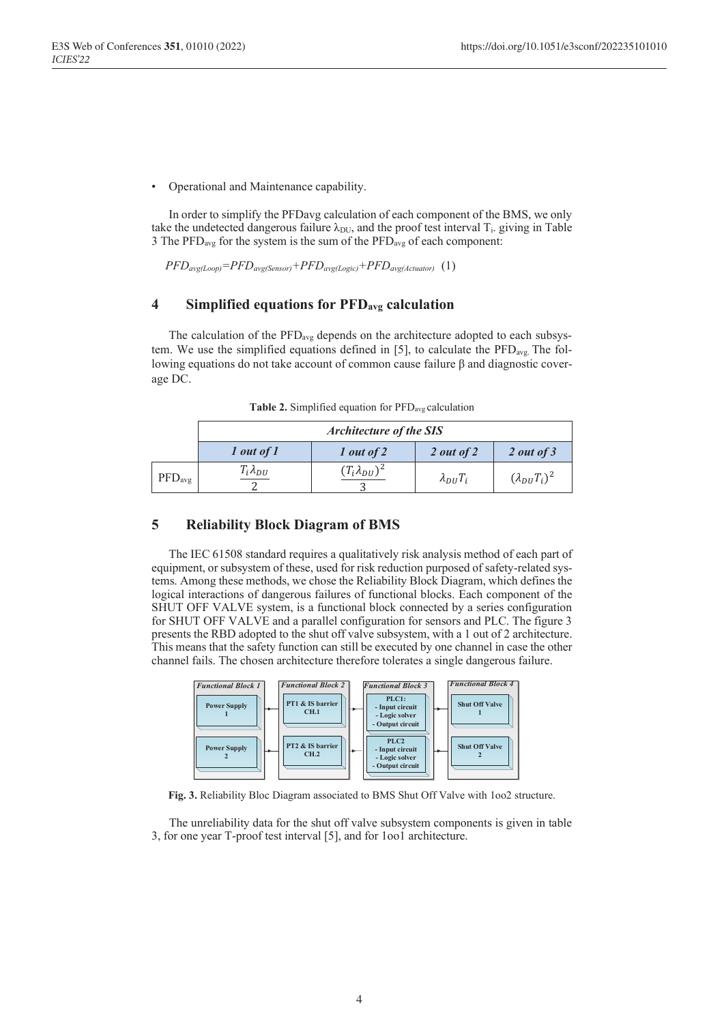• Operational and Maintenance capability.

In order to simplify the PFDavg calculation of each component of the BMS, we only take the undetected dangerous failure  $\lambda_{\text{DU}}$ , and the proof test interval  $T_i$ , giving in Table 3 The  $PFD_{avg}$  for the system is the sum of the  $PFD_{avg}$  of each component:

*PFDavg(Loop)=PFDavg(Sensor)+PFDavg(Logic)+PFDavg(Actuator)* (1)

# **4 Simplified equations for PFDavg calculation**

The calculation of the  $\text{PFD}_{\text{avg}}$  depends on the architecture adopted to each subsystem. We use the simplified equations defined in [5], to calculate the  $\text{PFD}_{\text{avg}}$ . The following equations do not take account of common cause failure β and diagnostic coverage DC.

|                  | <b>Architecture of the SIS</b> |                        |                   |                       |  |  |
|------------------|--------------------------------|------------------------|-------------------|-----------------------|--|--|
|                  | $1$ out of $1$                 | $1$ out of $2$         | 2 out of $2$      | $2$ out of 3          |  |  |
| $\rm{PFD_{avg}}$ | $T_i \lambda_{DU}$             | $(T_i \lambda_{DU})^2$ | $\lambda_{DU}T_i$ | $(\lambda_{DU}T_i)^2$ |  |  |

**Table 2.** Simplified equation for PFDavg calculation

## **5 Reliability Block Diagram of BMS**

The IEC 61508 standard requires a qualitatively risk analysis method of each part of equipment, or subsystem of these, used for risk reduction purposed of safety-related systems. Among these methods, we chose the Reliability Block Diagram, which defines the logical interactions of dangerous failures of functional blocks. Each component of the SHUT OFF VALVE system, is a functional block connected by a series configuration for SHUT OFF VALVE and a parallel configuration for sensors and PLC. The figure 3 presents the RBD adopted to the shut off valve subsystem, with a 1 out of 2 architecture. This means that the safety function can still be executed by one channel in case the other channel fails. The chosen architecture therefore tolerates a single dangerous failure.



**Fig. 3.** Reliability Bloc Diagram associated to BMS Shut Off Valve with 1oo2 structure.

The unreliability data for the shut off valve subsystem components is given in table 3, for one year T-proof test interval [5], and for 1oo1 architecture.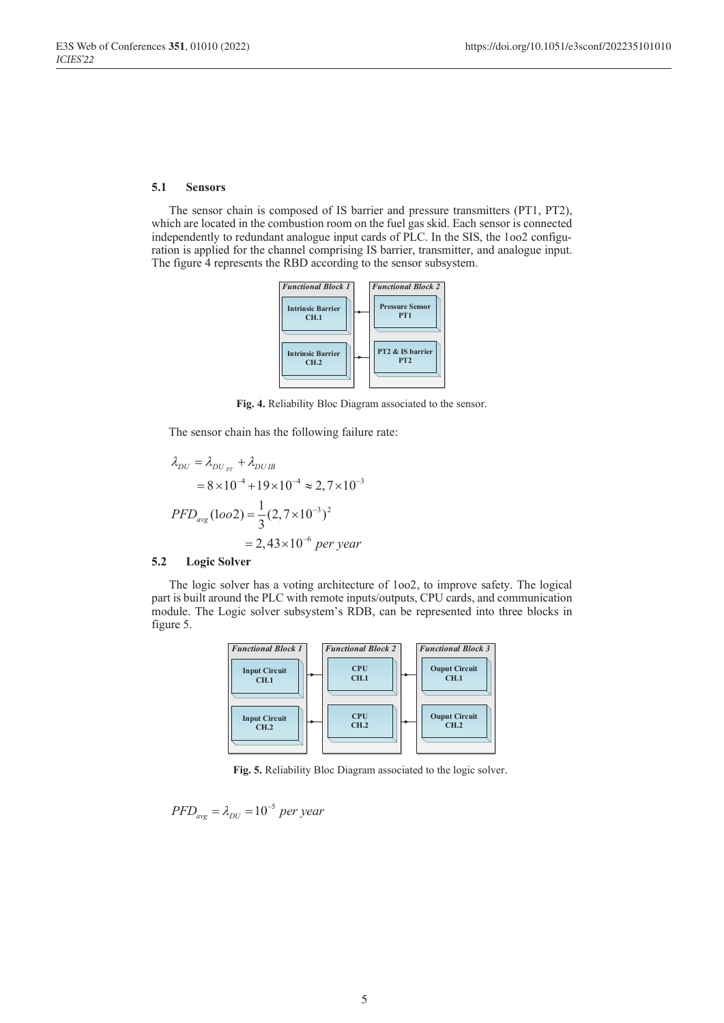#### **5.1 Sensors**

The sensor chain is composed of IS barrier and pressure transmitters (PT1, PT2), which are located in the combustion room on the fuel gas skid. Each sensor is connected independently to redundant analogue input cards of PLC. In the SIS, the 1oo2 configuration is applied for the channel comprising IS barrier, transmitter, and analogue input. The figure 4 represents the RBD according to the sensor subsystem.



**Fig. 4.** Reliability Bloc Diagram associated to the sensor.

The sensor chain has the following failure rate:

$$
\lambda_{DU} = \lambda_{DU_{PT}} + \lambda_{DUIB}
$$
  
= 8 \times 10^{-4} + 19 \times 10^{-4} \approx 2,7 \times 10^{-3}  
PFD\_{avg} (1oo2) = \frac{1}{3} (2,7 \times 10^{-3})^2  
= 2,43 \times 10^{-6} per year

#### **5.2 Logic Solver**

The logic solver has a voting architecture of 1oo2, to improve safety. The logical part is built around the PLC with remote inputs/outputs, CPU cards, and communication module. The Logic solver subsystem's RDB, can be represented into three blocks in figure 5.



**Fig. 5.** Reliability Bloc Diagram associated to the logic solver.

$$
PFD_{avg} = \lambda_{DU} = 10^{-5} \, per \, year
$$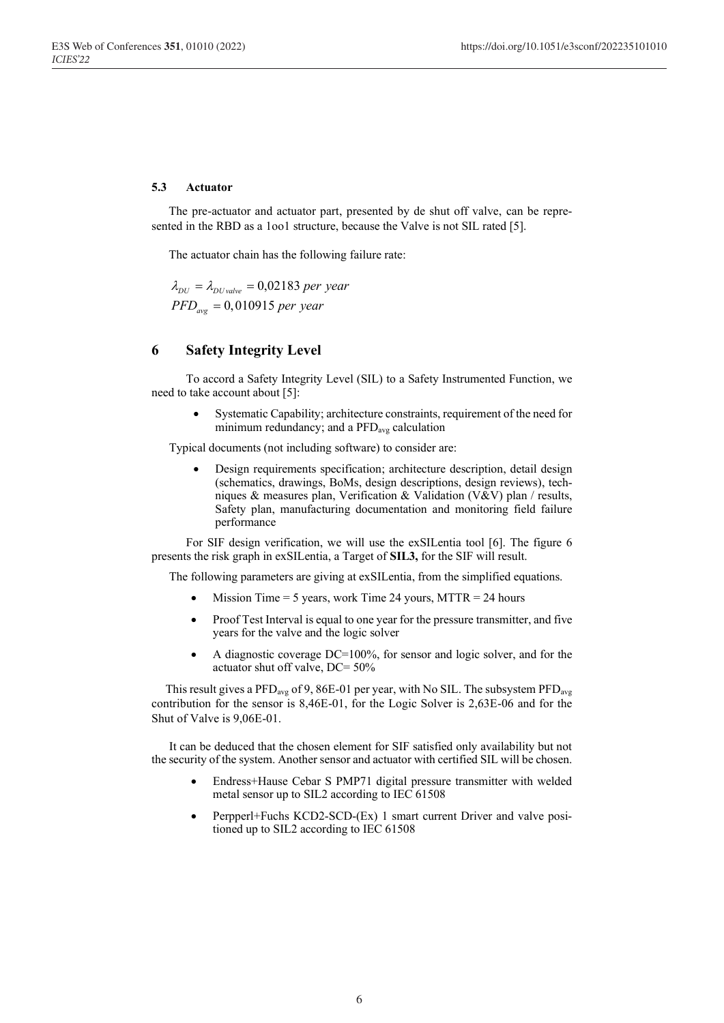### **5.3 Actuator**

The pre-actuator and actuator part, presented by de shut off valve, can be represented in the RBD as a 1oo1 structure, because the Valve is not SIL rated [5].

The actuator chain has the following failure rate:

 $\lambda_{DU} = \lambda_{DU \, value} = 0,02183$  per year *PFD<sub>avg</sub>* = 0,010915 per year

# **6 Safety Integrity Level**

To accord a Safety Integrity Level (SIL) to a Safety Instrumented Function, we need to take account about [5]:

Systematic Capability; architecture constraints, requirement of the need for minimum redundancy; and a PFDavg calculation

Typical documents (not including software) to consider are:

• Design requirements specification; architecture description, detail design (schematics, drawings, BoMs, design descriptions, design reviews), techniques & measures plan, Verification & Validation (V&V) plan / results, Safety plan, manufacturing documentation and monitoring field failure performance

For SIF design verification, we will use the exSILentia tool [6]. The figure 6 presents the risk graph in exSILentia, a Target of **SIL3,** for the SIF will result.

The following parameters are giving at exSILentia, from the simplified equations.

- Mission Time  $= 5$  years, work Time 24 yours, MTTR  $= 24$  hours
- Proof Test Interval is equal to one year for the pressure transmitter, and five years for the valve and the logic solver
- A diagnostic coverage DC=100%, for sensor and logic solver, and for the actuator shut off valve, DC= 50%

This result gives a  $\text{PFD}_{\text{avg}}$  of 9, 86E-01 per year, with No SIL. The subsystem  $\text{PFD}_{\text{avg}}$ contribution for the sensor is 8,46E-01, for the Logic Solver is 2,63E-06 and for the Shut of Valve is 9,06E-01.

It can be deduced that the chosen element for SIF satisfied only availability but not the security of the system. Another sensor and actuator with certified SIL will be chosen.

- Endress+Hause Cebar S PMP71 digital pressure transmitter with welded metal sensor up to SIL2 according to IEC 61508
- Perpperl+Fuchs KCD2-SCD-(Ex) 1 smart current Driver and valve positioned up to SIL2 according to IEC 61508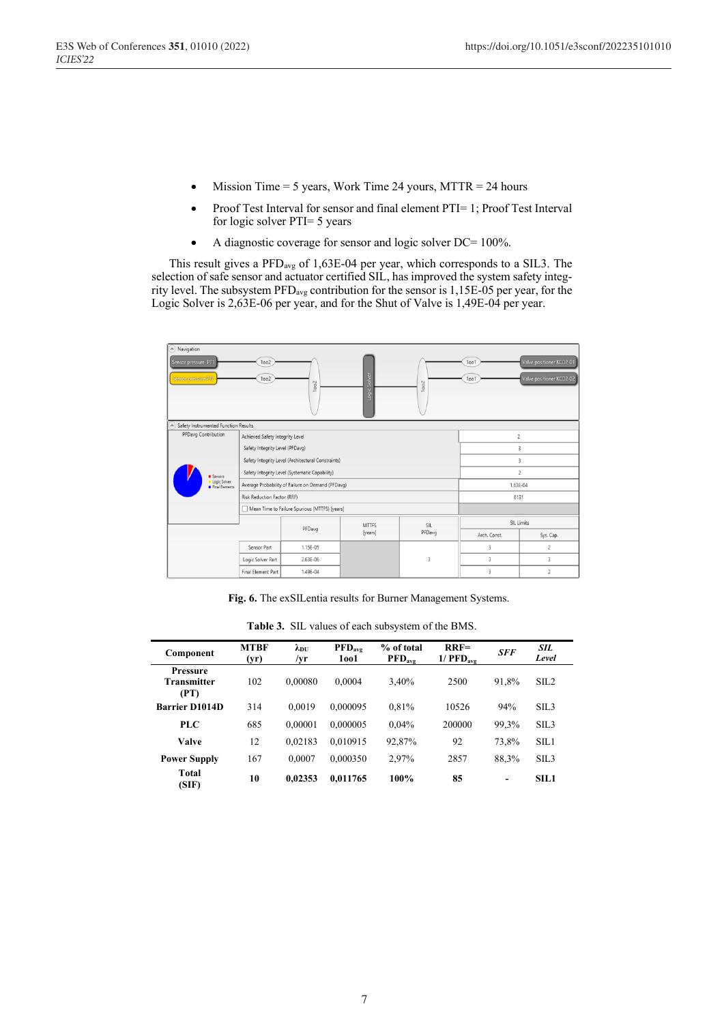- Mission Time  $= 5$  years, Work Time 24 yours, MTTR  $= 24$  hours
- Proof Test Interval for sensor and final element PTI= 1; Proof Test Interval for logic solver PTI= 5 years
- A diagnostic coverage for sensor and logic solver DC= 100%.

This result gives a PFDavg of 1,63E-04 per year, which corresponds to a SIL3. The selection of safe sensor and actuator certified SIL, has improved the system safety integrity level. The subsystem PFDavg contribution for the sensor is 1,15E-05 per year, for the Logic Solver is 2,63E-06 per year, and for the Shut of Valve is 1,49E-04 per year.

| A Navigation<br>Sensor pressure PT1<br>Sensor pressure PT2 |                                         | 1002<br>1002                                       | 1002                                          | o<br>ğ       | 1002         | 1001<br>1001   | Valve positioner KCD2-01<br>Valve positioner KCD2-02 |  |
|------------------------------------------------------------|-----------------------------------------|----------------------------------------------------|-----------------------------------------------|--------------|--------------|----------------|------------------------------------------------------|--|
|                                                            | A Safety Instrumented Function Results  |                                                    |                                               |              |              |                |                                                      |  |
| PFDavg Contribution<br>Achieved Safety Integrity Level     |                                         |                                                    |                                               |              |              | 2              |                                                      |  |
|                                                            |                                         |                                                    | Safety Integrity Level (PFDavg)               |              |              |                | 3                                                    |  |
|                                                            |                                         | Safety Integrity Level (Architectural Constraints) |                                               |              |              | 3              |                                                      |  |
|                                                            | Sensors                                 | Safety Integrity Level (Systematic Capability)     |                                               |              |              | $\overline{c}$ |                                                      |  |
|                                                            | Logic Solver<br><b>B</b> Final Elements | Average Probability of Failure on Demand (PFDavg)  |                                               |              |              | 1.63E-04       |                                                      |  |
|                                                            |                                         | Risk Reduction Factor (RRF)                        |                                               |              |              | 6131           |                                                      |  |
|                                                            |                                         |                                                    | Mean Time to Failure Spurious (MTTFS) [years] |              |              |                |                                                      |  |
|                                                            |                                         |                                                    |                                               | <b>MTTFS</b> | SIL          | SIL Limits     |                                                      |  |
|                                                            |                                         | PFDavg                                             | [years]                                       | PFDavg       | Arch, Const. | Sys. Cap.      |                                                      |  |
|                                                            |                                         | Sensor Part                                        | 1.15E-05                                      |              |              | 3              | 2                                                    |  |
|                                                            |                                         | Logic Solver Part                                  | 2.63E-06                                      |              | 3            | 3              | 3                                                    |  |
|                                                            |                                         |                                                    |                                               |              |              |                |                                                      |  |
|                                                            |                                         | Final Element Part                                 | 1.49E-04                                      |              |              | $\overline{3}$ | $\overline{2}$                                       |  |

**Fig. 6.** The exSILentia results for Burner Management Systems.

| Component                                     | <b>MTBF</b><br>(yr) | $\lambda_{\rm DU}$<br>/yr | $\bf{PFD}_{\rm{ave}}$<br>1001 | % of total<br>$\mathbf{PFD}_{\text{avg}}$ | $RRF=$<br>$1/$ PFD <sub>avg</sub> | <b>SFF</b> | <b>SIL</b><br>Level |
|-----------------------------------------------|---------------------|---------------------------|-------------------------------|-------------------------------------------|-----------------------------------|------------|---------------------|
| <b>Pressure</b><br><b>Transmitter</b><br>(PT) | 102                 | 0.00080                   | 0.0004                        | 3,40%                                     | 2500                              | 91,8%      | SIL <sub>2</sub>    |
| <b>Barrier D1014D</b>                         | 314                 | 0.0019                    | 0,000095                      | 0.81%                                     | 10526                             | 94%        | $\rm SII.3$         |
| PLC                                           | 685                 | 0,00001                   | 0,000005                      | 0.04%                                     | 200000                            | 99,3%      | SL <sub>3</sub>     |
| <b>Valve</b>                                  | 12                  | 0,02183                   | 0.010915                      | 92,87%                                    | 92                                | 73,8%      | SIL1                |
| <b>Power Supply</b>                           | 167                 | 0.0007                    | 0,000350                      | 2,97%                                     | 2857                              | 88,3%      | SL <sub>3</sub>     |
| <b>Total</b><br>(SIF)                         | 10                  | 0,02353                   | 0,011765                      | 100%                                      | 85                                | ٠          | SIL1                |

**Table 3.** SIL values of each subsystem of the BMS.